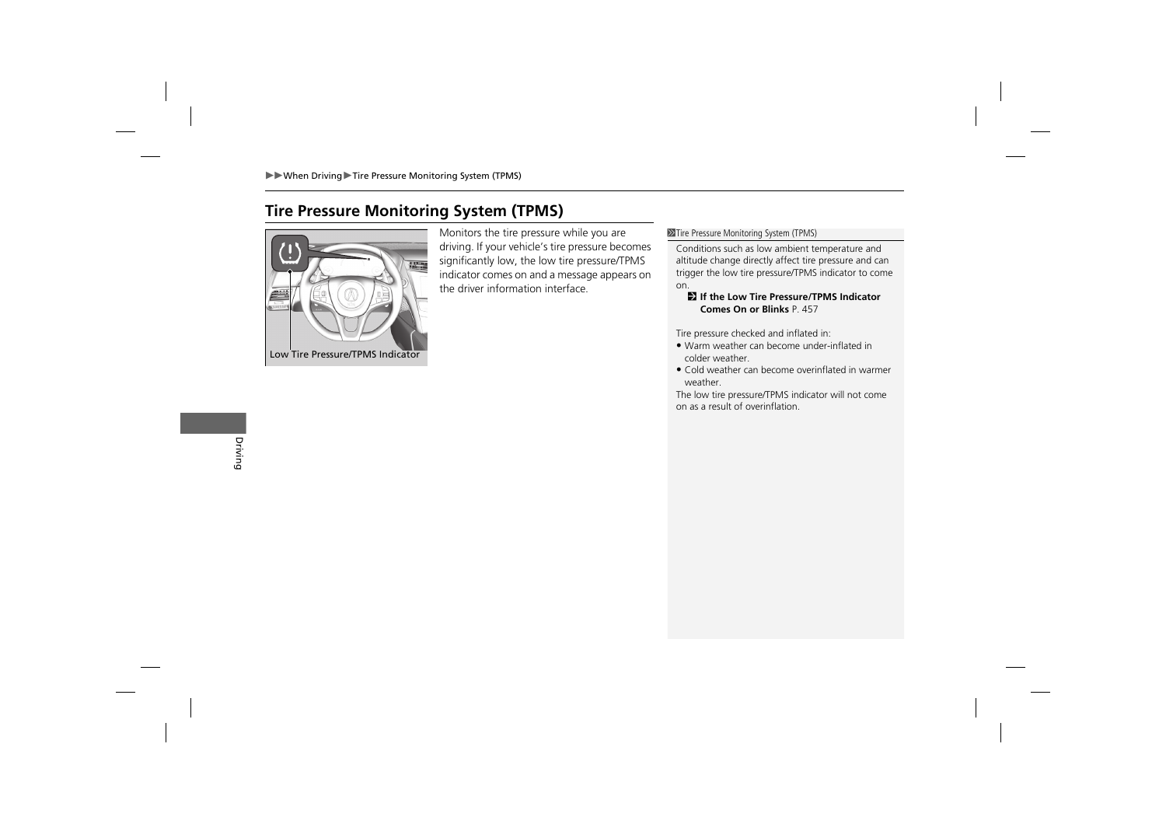# **Tire Pressure Monitoring System (TPMS)**



Monitors the tire pressure while you are driving. If your vehicle's tire pressure becomes significantly low, the low tire pressure/TPMS indicator comes on and a message appears on the driver information interface.

### $\gg$  Tire Pressure Monitoring System (TPMS)

Conditions such as low ambient temperature and altitude change directly affect tire pressure and can trigger the low tire pressure/TPMS indicator to come on.

## 2 **If the Low Tire Pressure/TPMS Indicator Comes On or Blinks** P. 457

Tire pressure checked and inflated in:

- Warm weather can become under-inflated in colder weather.
- Cold weather can become overinflated in warmer weather.

The low tire pressure/TPMS indicator will not come on as a result of overinflation.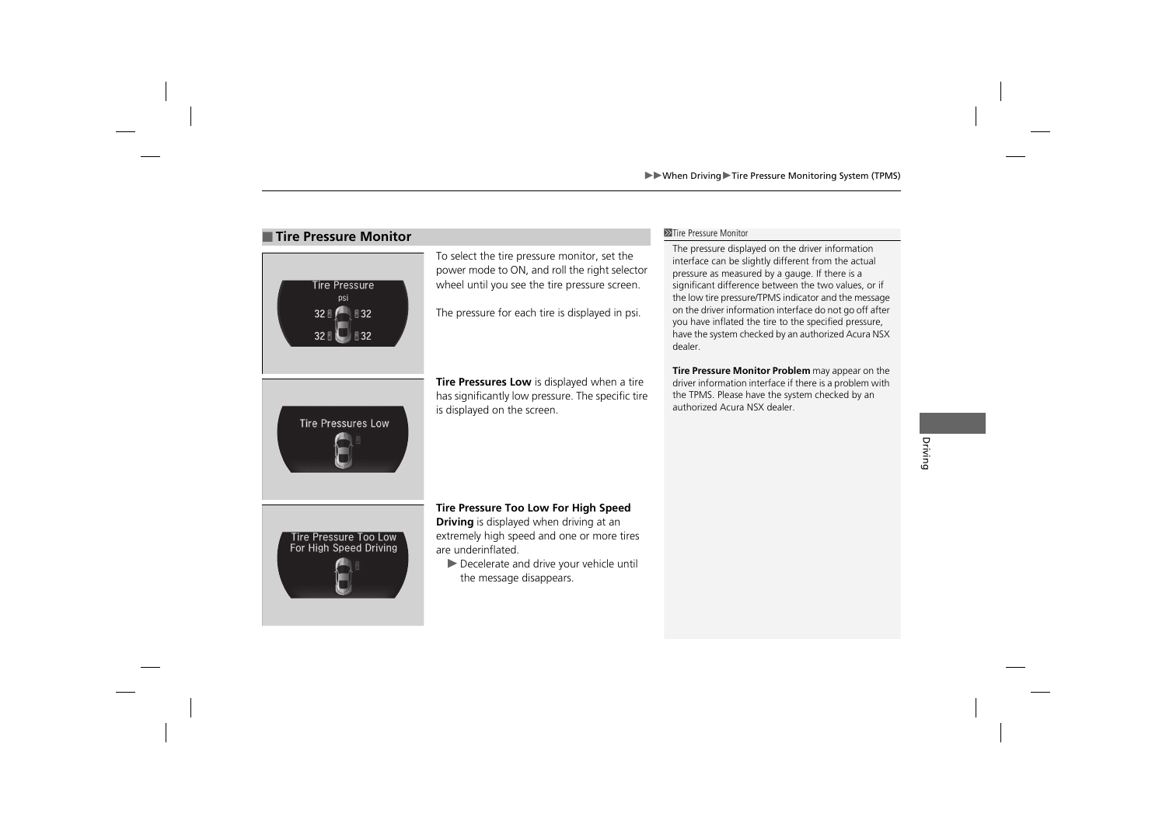## **Tire Pressure Monitor** 1Time **Pressure Monitor** 1Time **1Time Pressure Monitor**



To select the tire pressure monitor, set the power mode to ON, and roll the right selector wheel until you see the tire pressure screen.

The pressure for each tire is displayed in psi.

**Tire Pressures Low** is displayed when a tire has significantly low pressure. The specific tire is displayed on the screen.

The pressure displayed on the driver information interface can be slightly different from the actual pressure as measured by a gauge. If there is a significant difference between the two values, or if the low tire pressure/TPMS indicator and the message on the driver information interface do not go off after you have inflated the tire to the specified pressure, have the system checked by an authorized Acura NSX dealer.

**Tire Pressure Monitor Problem** may appear on the driver information interface if there is a problem with the TPMS. Please have the system checked by an authorized Acura NSX dealer.



**Tire Pressure Too Low For High Speed** 

**Driving** is displayed when driving at an extremely high speed and one or more tires are underinflated.

 $\blacktriangleright$  Decelerate and drive your vehicle until the message disappears.

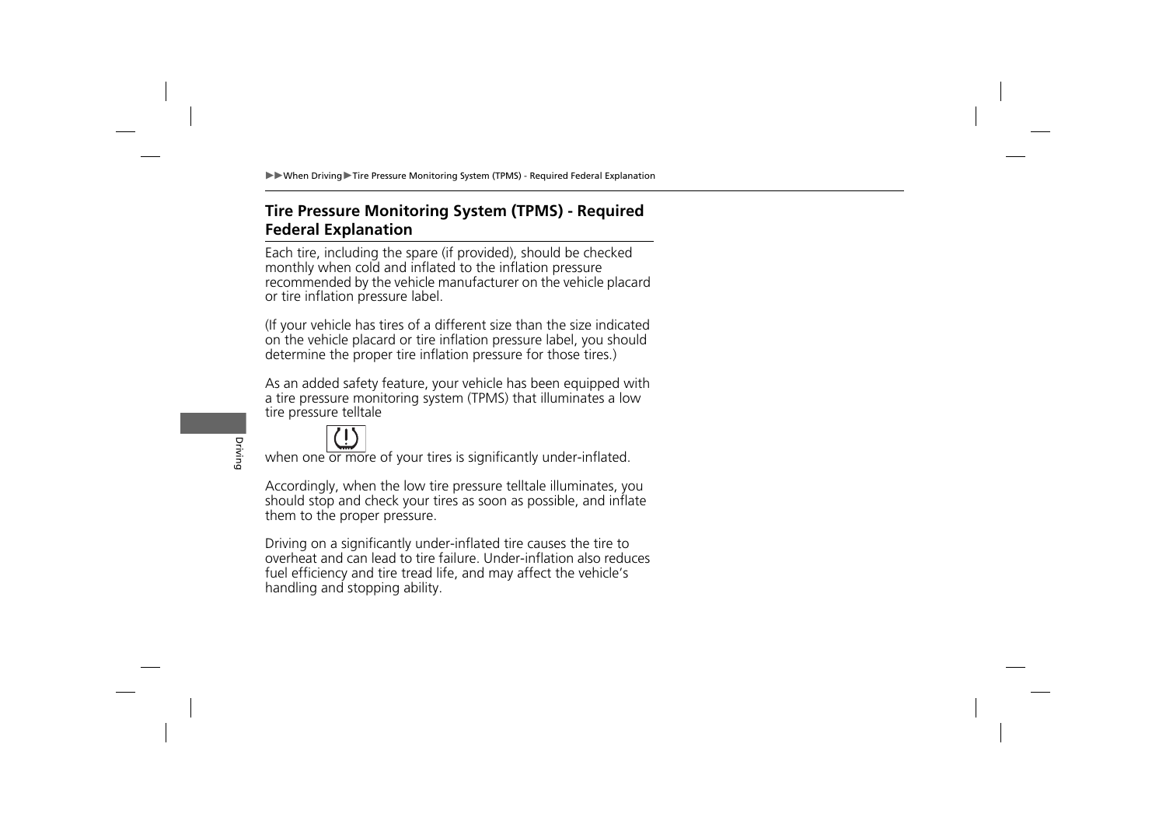# **Tire Pressure Monitoring System (TPMS) - Required Federal Explanation**

Each tire, including the spare (if provided), should be checked monthly when cold and inflated to the inflation pressure recommended by the vehicle manufacturer on the vehicle placard or tire inflation pressure label.

(If your vehicle has tires of a different size than the size indicated on the vehicle placard or tire inflation pressure label, you should determine the proper tire inflation pressure for those tires.)

As an added safety feature, your vehicle has been equipped with a tire pressure monitoring system (TPMS) that illuminates a low tire pressure telltale



when one or more of your tires is significantly under-inflated.

Accordingly, when the low tire pressure telltale illuminates, you should stop and check your tires as soon as possible, and inflate them to the proper pressure.

Driving on a significantly under-inflated tire causes the tire to overheat and can lead to tire failure. Under-inflation also reduces fuel efficiency and tire tread life, and may affect the vehicle's handling and stopping ability.